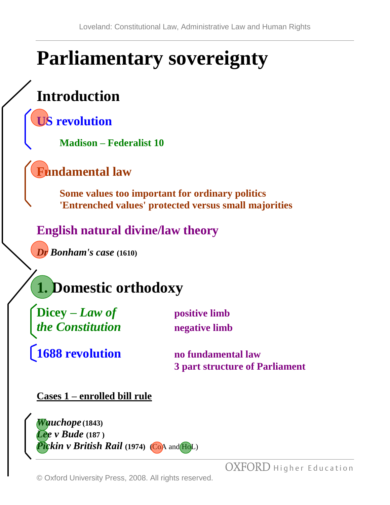# **Parliamentary sovereignty**

# **Introduction**

**US revolution**

**Madison – Federalist 10**

## **Fundamental law**

**Some values too important for ordinary politics 'Entrenched values' protected versus small majorities**

## **English natural divine/law theory**

*Dr Bonham's case* **(1610)**



Dicey – *Law of* positive limb *the Constitution* **negative limb**

**1688 revolution no fundamental law**

**3 part structure of Parliament**

### **Cases 1 – enrolled bill rule**

*Wauchope* **(1843)** *Lee v Bude* **(187 )** *Pickin v British Rail* (1974) (CoA and HoL)

© Oxford University Press, 2008. All rights reserved.

OXFORD Higher Education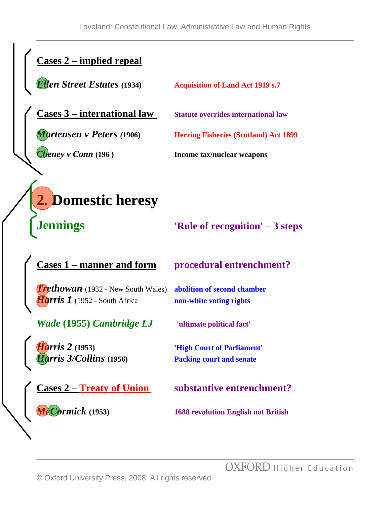## **Cases 2 – implied repeal**

*Ellen Street Estates* **(1934) Acquisition of Land Act 1919 s.7**

**Cases 3 – international law Statute overrides international law**

*Mortensen v Peters (***1906) Herring Fisheries (Scotland) Act 1899**

*Cheney v Conn* **(196 ) Income tax/nuclear weapons**

# **2. Domestic heresy**

**Jennings 'Rule of recognition' – 3 steps**

#### **Cases 1 – manner and form procedural entrenchment?**

*Trethowan* (1932 - New South Wales) **abolition of second chamber** *Harris 1* (1952 - South Africa **non-white voting rights** 

*Wade* **(1955)** *Cambridge LJ* **'ultimate political fact'**

*Harris 2* **(1953) 'High Court of Parliament'** *Harris 3/Collins* **(1956) Packing court and senate**

**Cases 2 – Treaty of Union substantive entrenchment?**

*McCormick* **(1953) 1688 revolution English not British**

OXFORD Higher Education

© Oxford University Press, 2008. All rights reserved.